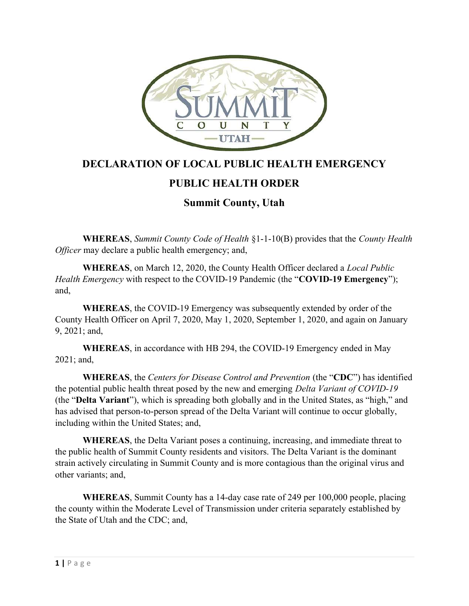

## DECLARATION OF LOCAL PUBLIC HEALTH EMERGENCY

## PUBLIC HEALTH ORDER

## Summit County, Utah

WHEREAS, Summit County Code of Health §1-1-10(B) provides that the County Health Officer may declare a public health emergency; and,

WHEREAS, on March 12, 2020, the County Health Officer declared a *Local Public* Health Emergency with respect to the COVID-19 Pandemic (the "COVID-19 Emergency"); and,

WHEREAS, the COVID-19 Emergency was subsequently extended by order of the County Health Officer on April 7, 2020, May 1, 2020, September 1, 2020, and again on January 9, 2021; and,

WHEREAS, in accordance with HB 294, the COVID-19 Emergency ended in May 2021; and,

WHEREAS, the Centers for Disease Control and Prevention (the "CDC") has identified the potential public health threat posed by the new and emerging Delta Variant of COVID-19 (the "Delta Variant"), which is spreading both globally and in the United States, as "high," and has advised that person-to-person spread of the Delta Variant will continue to occur globally, including within the United States; and,

WHEREAS, the Delta Variant poses a continuing, increasing, and immediate threat to the public health of Summit County residents and visitors. The Delta Variant is the dominant strain actively circulating in Summit County and is more contagious than the original virus and other variants; and,

WHEREAS, Summit County has a 14-day case rate of 249 per 100,000 people, placing the county within the Moderate Level of Transmission under criteria separately established by the State of Utah and the CDC; and,